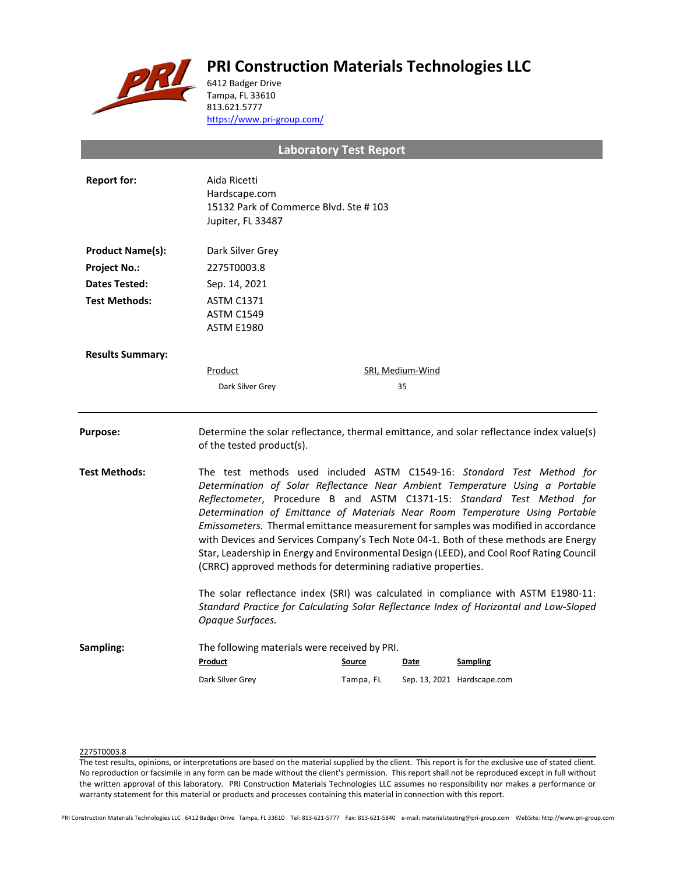# **PRI Construction Materials Technologies LLC**



6412 Badger Drive Tampa, FL 33610 813.621.5777 <https://www.pri-group.com/>

**Laboratory Test Report**

| <b>Report for:</b>      | Aida Ricetti<br>Hardscape.com<br>15132 Park of Commerce Blvd. Ste #103<br>Jupiter, FL 33487                                                                                                                                                                                                                                                                                                                                                                                                                                                                                                                                                                 |           |                         |                             |  |
|-------------------------|-------------------------------------------------------------------------------------------------------------------------------------------------------------------------------------------------------------------------------------------------------------------------------------------------------------------------------------------------------------------------------------------------------------------------------------------------------------------------------------------------------------------------------------------------------------------------------------------------------------------------------------------------------------|-----------|-------------------------|-----------------------------|--|
| <b>Product Name(s):</b> | Dark Silver Grey                                                                                                                                                                                                                                                                                                                                                                                                                                                                                                                                                                                                                                            |           |                         |                             |  |
| <b>Project No.:</b>     | 2275T0003.8                                                                                                                                                                                                                                                                                                                                                                                                                                                                                                                                                                                                                                                 |           |                         |                             |  |
| Dates Tested:           | Sep. 14, 2021                                                                                                                                                                                                                                                                                                                                                                                                                                                                                                                                                                                                                                               |           |                         |                             |  |
| <b>Test Methods:</b>    | <b>ASTM C1371</b><br><b>ASTM C1549</b><br><b>ASTM E1980</b>                                                                                                                                                                                                                                                                                                                                                                                                                                                                                                                                                                                                 |           |                         |                             |  |
| <b>Results Summary:</b> |                                                                                                                                                                                                                                                                                                                                                                                                                                                                                                                                                                                                                                                             |           |                         |                             |  |
|                         | <b>Product</b>                                                                                                                                                                                                                                                                                                                                                                                                                                                                                                                                                                                                                                              |           | <b>SRI, Medium-Wind</b> |                             |  |
|                         | Dark Silver Grey                                                                                                                                                                                                                                                                                                                                                                                                                                                                                                                                                                                                                                            |           | 35                      |                             |  |
| <b>Purpose:</b>         | Determine the solar reflectance, thermal emittance, and solar reflectance index value(s)<br>of the tested product(s).                                                                                                                                                                                                                                                                                                                                                                                                                                                                                                                                       |           |                         |                             |  |
| <b>Test Methods:</b>    | The test methods used included ASTM C1549-16: Standard Test Method for<br>Determination of Solar Reflectance Near Ambient Temperature Using a Portable<br>Reflectometer, Procedure B and ASTM C1371-15: Standard Test Method for<br>Determination of Emittance of Materials Near Room Temperature Using Portable<br>Emissometers. Thermal emittance measurement for samples was modified in accordance<br>with Devices and Services Company's Tech Note 04-1. Both of these methods are Energy<br>Star, Leadership in Energy and Environmental Design (LEED), and Cool Roof Rating Council<br>(CRRC) approved methods for determining radiative properties. |           |                         |                             |  |
|                         | The solar reflectance index (SRI) was calculated in compliance with ASTM E1980-11:<br>Standard Practice for Calculating Solar Reflectance Index of Horizontal and Low-Sloped<br>Opaque Surfaces.                                                                                                                                                                                                                                                                                                                                                                                                                                                            |           |                         |                             |  |
| Sampling:               | The following materials were received by PRI.<br>Product                                                                                                                                                                                                                                                                                                                                                                                                                                                                                                                                                                                                    | Source    | Date                    | <b>Sampling</b>             |  |
|                         | Dark Silver Grey                                                                                                                                                                                                                                                                                                                                                                                                                                                                                                                                                                                                                                            | Tampa, FL |                         | Sep. 13, 2021 Hardscape.com |  |

## 2275T0003.8

The test results, opinions, or interpretations are based on the material supplied by the client. This report is for the exclusive use of stated client. No reproduction or facsimile in any form can be made without the client's permission. This report shall not be reproduced except in full without the written approval of this laboratory. PRI Construction Materials Technologies LLC assumes no responsibility nor makes a performance or warranty statement for this material or products and processes containing this material in connection with this report.

PRI Construction Materials Technologies LLC 6412 Badger Drive Tampa, FL 33610 Tel: 813-621-5777 Fax: 813-621-5840 e-mail: materialstesting@pri-group.com WebSite: http://www.pri-group.com